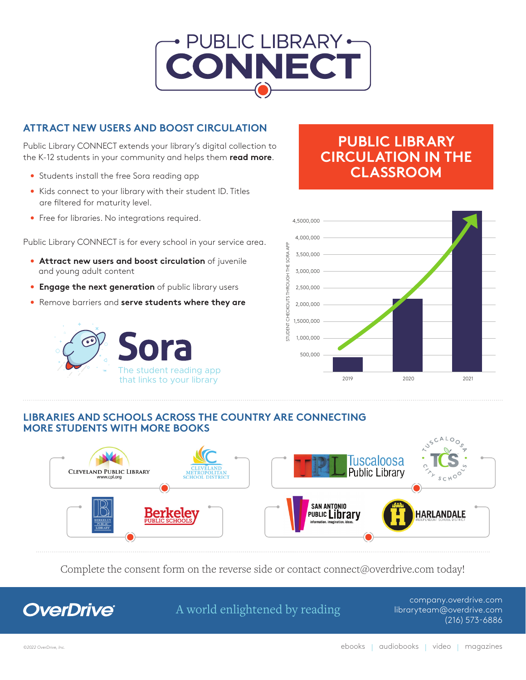

### **ATTRACT NEW USERS AND BOOST CIRCULATION**

Public Library CONNECT extends your library's digital collection to the K-12 students in your community and helps them **read more**.

- Students install the free Sora reading app
- Kids connect to your library with their student ID. Titles are filtered for maturity level.
- Free for libraries. No integrations required.

Public Library CONNECT is for every school in your service area.

- **Attract new users and boost circulation** of juvenile and young adult content
- **Engage the next generation** of public library users
- Remove barriers and **serve students where they are**



## **PUBLIC LIBRARY CIRCULATION IN THE Public Library Connect**  $CLASSROOM$



#### **LIBRARIES AND SCHOOLS ACROSS THE COUNTRY ARE CONNECTING MORE STUDENTS WITH MORE BOOKS**



Complete the consent form on the reverse side or contact connect@overdrive.com today!



A world enlightened by reading

company.overdrive.com libraryteam@overdrive.com (216) 573-6886